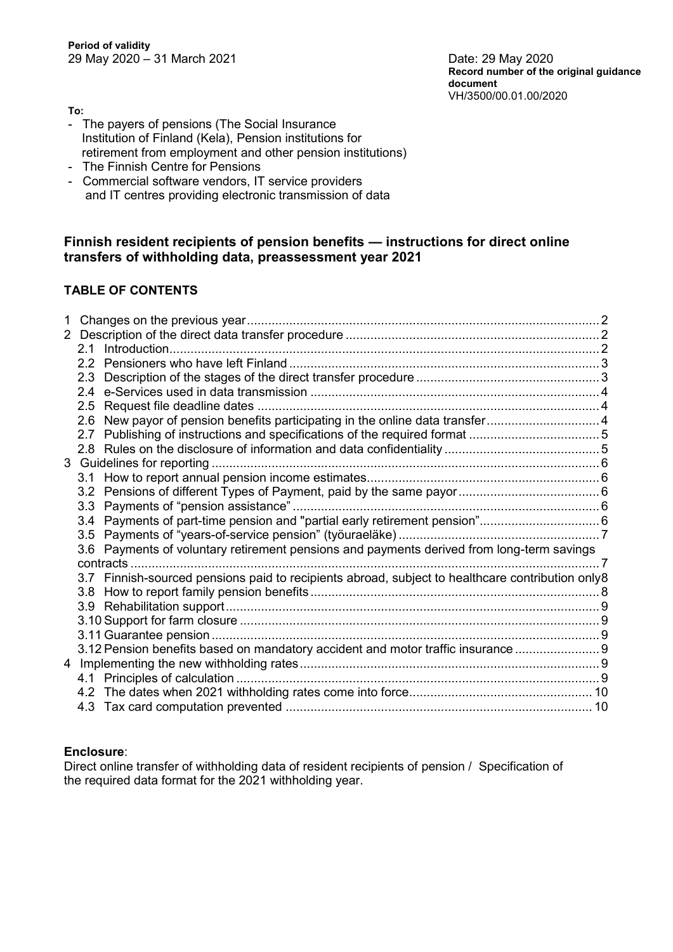**Record number of the original guidance document** VH/3500/00.01.00/2020

**To:**

- The payers of pensions (The Social Insurance Institution of Finland (Kela), Pension institutions for retirement from employment and other pension institutions)
- The Finnish Centre for Pensions
- Commercial software vendors, IT service providers and IT centres providing electronic transmission of data

## **Finnish resident recipients of pension benefits — instructions for direct online transfers of withholding data, preassessment year 2021**

# **TABLE OF CONTENTS**

| 1 |                                                                                                  |  |
|---|--------------------------------------------------------------------------------------------------|--|
|   |                                                                                                  |  |
|   |                                                                                                  |  |
|   |                                                                                                  |  |
|   |                                                                                                  |  |
|   |                                                                                                  |  |
|   |                                                                                                  |  |
|   | 2.6 New payor of pension benefits participating in the online data transfer 4                    |  |
|   |                                                                                                  |  |
|   |                                                                                                  |  |
|   |                                                                                                  |  |
|   |                                                                                                  |  |
|   |                                                                                                  |  |
|   |                                                                                                  |  |
|   | 3.4 Payments of part-time pension and "partial early retirement pension" 6                       |  |
|   |                                                                                                  |  |
|   | 3.6 Payments of voluntary retirement pensions and payments derived from long-term savings        |  |
|   |                                                                                                  |  |
|   | 3.7 Finnish-sourced pensions paid to recipients abroad, subject to healthcare contribution only8 |  |
|   |                                                                                                  |  |
|   |                                                                                                  |  |
|   |                                                                                                  |  |
|   |                                                                                                  |  |
|   | 3.12 Pension benefits based on mandatory accident and motor traffic insurance  9                 |  |
|   |                                                                                                  |  |
|   |                                                                                                  |  |
|   |                                                                                                  |  |
|   |                                                                                                  |  |

## **Enclosure**:

Direct online transfer of withholding data of resident recipients of pension / Specification of the required data format for the 2021 withholding year.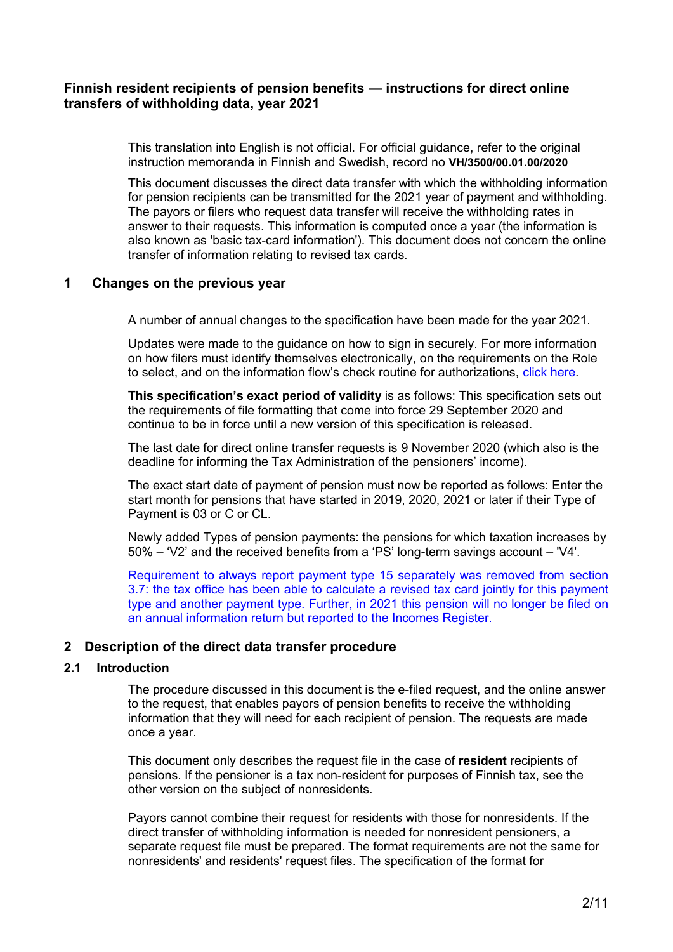# **Finnish resident recipients of pension benefits — instructions for direct online transfers of withholding data, year 2021**

This translation into English is not official. For official guidance, refer to the original instruction memoranda in Finnish and Swedish, record no **VH/3500/00.01.00/2020** 

This document discusses the direct data transfer with which the withholding information for pension recipients can be transmitted for the 2021 year of payment and withholding. The payors or filers who request data transfer will receive the withholding rates in answer to their requests. This information is computed once a year (the information is also known as 'basic tax-card information'). This document does not concern the online transfer of information relating to revised tax cards.

## <span id="page-1-0"></span>**1 Changes on the previous year**

A number of annual changes to the specification have been made for the year 2021.

Updates were made to the guidance on how to sign in securely. For more information on how filers must identify themselves electronically, on the requirements on the Role to select, and on the information flow's check routine for authorizations, click [here.](https://www.ilmoitin.fi/webtamo/sivut/IlmoituslajiRoolit;jsessionid=3E2A091D1B46C512726DAD05C4B96D3D?kieli=en)

**This specification's exact period of validity** is as follows: This specification sets out the requirements of file formatting that come into force 29 September 2020 and continue to be in force until a new version of this specification is released.

The last date for direct online transfer requests is 9 November 2020 (which also is the deadline for informing the Tax Administration of the pensioners' income).

The exact start date of payment of pension must now be reported as follows: Enter the start month for pensions that have started in 2019, 2020, 2021 or later if their Type of Payment is 03 or C or CL.

Newly added Types of pension payments: the pensions for which taxation increases by 50% – 'V2' and the received benefits from a 'PS' long-term savings account – 'V4'.

Requirement to always report payment type 15 separately was removed from section 3.7: the tax office has been able to calculate a revised tax card jointly for this payment type and another payment type. Further, in 2021 this pension will no longer be filed on an annual information return but reported to the Incomes Register.

## <span id="page-1-1"></span>**2 Description of the direct data transfer procedure**

### <span id="page-1-2"></span>**2.1 Introduction**

The procedure discussed in this document is the e-filed request, and the online answer to the request, that enables payors of pension benefits to receive the withholding information that they will need for each recipient of pension. The requests are made once a year.

This document only describes the request file in the case of **resident** recipients of pensions. If the pensioner is a tax non-resident for purposes of Finnish tax, see the other version on the subject of nonresidents.

Payors cannot combine their request for residents with those for nonresidents. If the direct transfer of withholding information is needed for nonresident pensioners, a separate request file must be prepared. The format requirements are not the same for nonresidents' and residents' request files. The specification of the format for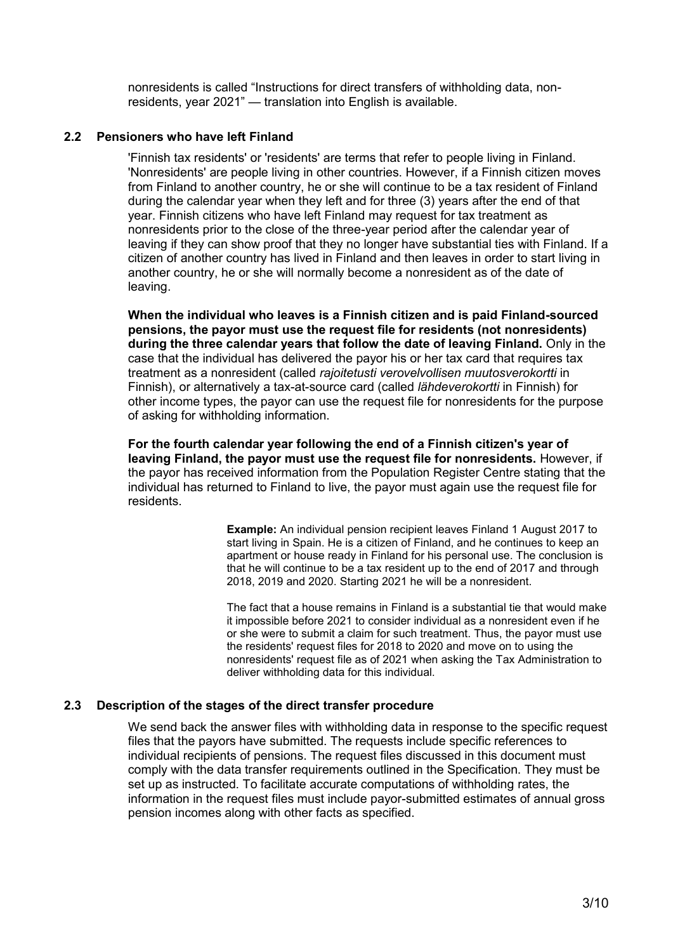nonresidents is called "Instructions for direct transfers of withholding data, nonresidents, year 2021" — translation into English is available.

#### <span id="page-2-0"></span>**2.2 Pensioners who have left Finland**

'Finnish tax residents' or 'residents' are terms that refer to people living in Finland. 'Nonresidents' are people living in other countries. However, if a Finnish citizen moves from Finland to another country, he or she will continue to be a tax resident of Finland during the calendar year when they left and for three (3) years after the end of that year. Finnish citizens who have left Finland may request for tax treatment as nonresidents prior to the close of the three-year period after the calendar year of leaving if they can show proof that they no longer have substantial ties with Finland. If a citizen of another country has lived in Finland and then leaves in order to start living in another country, he or she will normally become a nonresident as of the date of leaving.

**When the individual who leaves is a Finnish citizen and is paid Finland-sourced pensions, the payor must use the request file for residents (not nonresidents) during the three calendar years that follow the date of leaving Finland.** Only in the case that the individual has delivered the payor his or her tax card that requires tax treatment as a nonresident (called *rajoitetusti verovelvollisen muutosverokortti* in Finnish), or alternatively a tax-at-source card (called *lähdeverokortti* in Finnish) for other income types, the payor can use the request file for nonresidents for the purpose of asking for withholding information.

**For the fourth calendar year following the end of a Finnish citizen's year of leaving Finland, the payor must use the request file for nonresidents.** However, if the payor has received information from the Population Register Centre stating that the individual has returned to Finland to live, the payor must again use the request file for residents.

> **Example:** An individual pension recipient leaves Finland 1 August 2017 to start living in Spain. He is a citizen of Finland, and he continues to keep an apartment or house ready in Finland for his personal use. The conclusion is that he will continue to be a tax resident up to the end of 2017 and through 2018, 2019 and 2020. Starting 2021 he will be a nonresident.

The fact that a house remains in Finland is a substantial tie that would make it impossible before 2021 to consider individual as a nonresident even if he or she were to submit a claim for such treatment. Thus, the payor must use the residents' request files for 2018 to 2020 and move on to using the nonresidents' request file as of 2021 when asking the Tax Administration to deliver withholding data for this individual.

## <span id="page-2-1"></span>**2.3 Description of the stages of the direct transfer procedure**

We send back the answer files with withholding data in response to the specific request files that the payors have submitted. The requests include specific references to individual recipients of pensions. The request files discussed in this document must comply with the data transfer requirements outlined in the Specification. They must be set up as instructed. To facilitate accurate computations of withholding rates, the information in the request files must include payor-submitted estimates of annual gross pension incomes along with other facts as specified.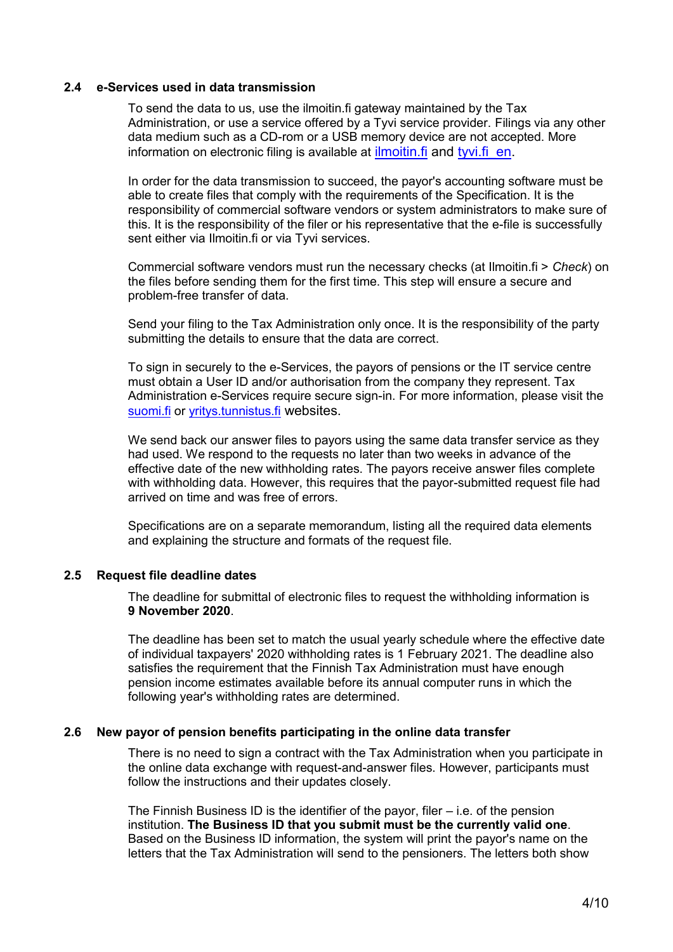### <span id="page-3-0"></span>**2.4 e-Services used in data transmission**

To send the data to us, use the ilmoitin.fi gateway maintained by the Tax Administration, or use a service offered by a Tyvi service provider. Filings via any other data medium such as a CD-rom or a USB memory device are not accepted. More information on electronic filing is available at *[ilmoitin.fi](https://www.vero.fi/en/About-us/information_and_material_on_taxatio/it_developer/)* and tyvi.fi en.

In order for the data transmission to succeed, the payor's accounting software must be able to create files that comply with the requirements of the Specification. It is the responsibility of commercial software vendors or system administrators to make sure of this. It is the responsibility of the filer or his representative that the e-file is successfully sent either via Ilmoitin.fi or via Tyvi services.

Commercial software vendors must run the necessary checks (at Ilmoitin.fi > *Check*) on the files before sending them for the first time. This step will ensure a secure and problem-free transfer of data.

Send your filing to the Tax Administration only once. It is the responsibility of the party submitting the details to ensure that the data are correct.

To sign in securely to the e-Services, the payors of pensions or the IT service centre must obtain a User ID and/or authorisation from the company they represent. Tax Administration e-Services require secure sign-in. For more information, please visit the [suomi.fi](https://www.suomi.fi/frontpage) or vritys.tunnistus.fi websites.

We send back our answer files to payors using the same data transfer service as they had used. We respond to the requests no later than two weeks in advance of the effective date of the new withholding rates. The payors receive answer files complete with withholding data. However, this requires that the payor-submitted request file had arrived on time and was free of errors.

Specifications are on a separate memorandum, listing all the required data elements and explaining the structure and formats of the request file.

## <span id="page-3-1"></span>**2.5 Request file deadline dates**

The deadline for submittal of electronic files to request the withholding information is **9 November 2020**.

The deadline has been set to match the usual yearly schedule where the effective date of individual taxpayers' 2020 withholding rates is 1 February 2021. The deadline also satisfies the requirement that the Finnish Tax Administration must have enough pension income estimates available before its annual computer runs in which the following year's withholding rates are determined.

#### <span id="page-3-2"></span>**2.6 New payor of pension benefits participating in the online data transfer**

There is no need to sign a contract with the Tax Administration when you participate in the online data exchange with request-and-answer files. However, participants must follow the instructions and their updates closely.

The Finnish Business ID is the identifier of the payor, filer – i.e. of the pension institution. **The Business ID that you submit must be the currently valid one**. Based on the Business ID information, the system will print the payor's name on the letters that the Tax Administration will send to the pensioners. The letters both show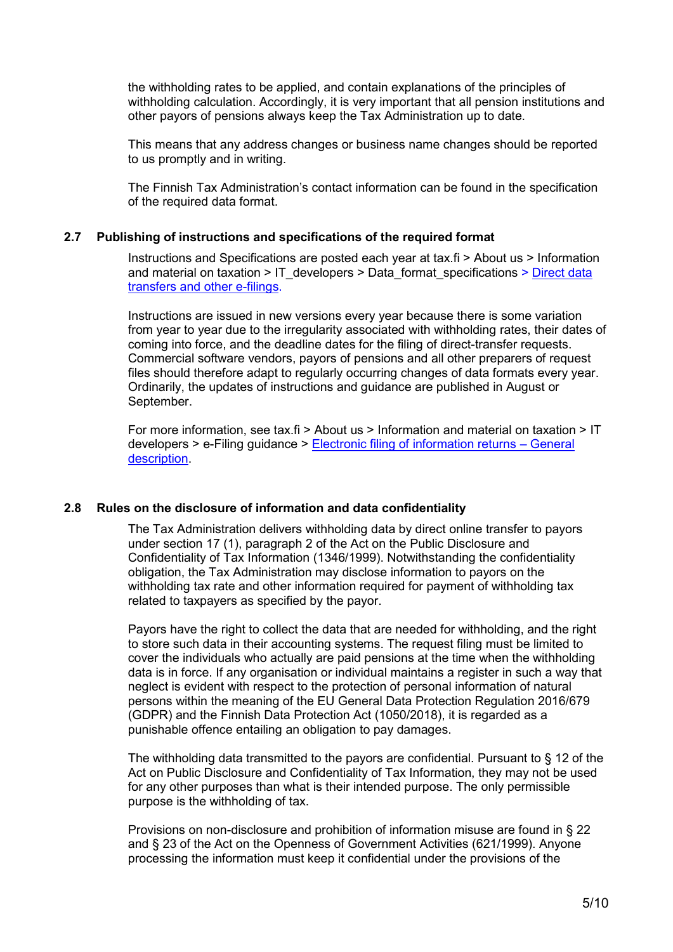the withholding rates to be applied, and contain explanations of the principles of withholding calculation. Accordingly, it is very important that all pension institutions and other payors of pensions always keep the Tax Administration up to date.

This means that any address changes or business name changes should be reported to us promptly and in writing.

The Finnish Tax Administration's contact information can be found in the specification of the required data format.

### <span id="page-4-0"></span>**2.7 Publishing of instructions and specifications of the required format**

Instructions and Specifications are posted each year at tax.fi > About us > Information and material on taxation  $>$  IT developers  $>$  Data format specifications  $>$  Direct data [transfers and other e-filings.](https://www.vero.fi/en/About-us/it_developer/data-format-specifications/specifications__direct_data_transfers_a/)

Instructions are issued in new versions every year because there is some variation from year to year due to the irregularity associated with withholding rates, their dates of coming into force, and the deadline dates for the filing of direct-transfer requests. Commercial software vendors, payors of pensions and all other preparers of request files should therefore adapt to regularly occurring changes of data formats every year. Ordinarily, the updates of instructions and guidance are published in August or September.

For more information, see tax.fi > About us > Information and material on taxation > IT developers > e-Filing guidance > [Electronic filing of information returns](https://www.vero.fi/globalassets/tietoa-verohallinnosta/ohjelmistokehittajille/sahkoisen-ilmoittamisen-yleiskuvaus_6.4versio_engl.pdf) – General [description.](https://www.vero.fi/globalassets/tietoa-verohallinnosta/ohjelmistokehittajille/sahkoisen-ilmoittamisen-yleiskuvaus_6.4versio_engl.pdf)

## <span id="page-4-1"></span>**2.8 Rules on the disclosure of information and data confidentiality**

The Tax Administration delivers withholding data by direct online transfer to payors under section 17 (1), paragraph 2 of the Act on the Public Disclosure and Confidentiality of Tax Information (1346/1999). Notwithstanding the confidentiality obligation, the Tax Administration may disclose information to payors on the withholding tax rate and other information required for payment of withholding tax related to taxpayers as specified by the payor.

Payors have the right to collect the data that are needed for withholding, and the right to store such data in their accounting systems. The request filing must be limited to cover the individuals who actually are paid pensions at the time when the withholding data is in force. If any organisation or individual maintains a register in such a way that neglect is evident with respect to the protection of personal information of natural persons within the meaning of the EU General Data Protection Regulation 2016/679 (GDPR) and the Finnish Data Protection Act (1050/2018), it is regarded as a punishable offence entailing an obligation to pay damages.

The withholding data transmitted to the payors are confidential. Pursuant to § 12 of the Act on Public Disclosure and Confidentiality of Tax Information, they may not be used for any other purposes than what is their intended purpose. The only permissible purpose is the withholding of tax.

Provisions on non-disclosure and prohibition of information misuse are found in § 22 and § 23 of the Act on the Openness of Government Activities (621/1999). Anyone processing the information must keep it confidential under the provisions of the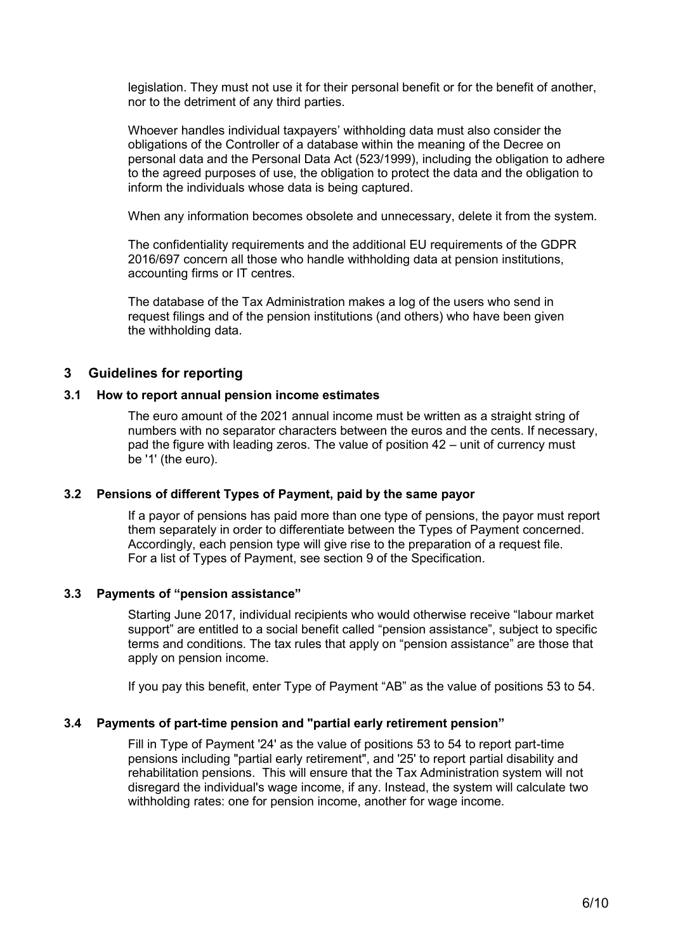legislation. They must not use it for their personal benefit or for the benefit of another, nor to the detriment of any third parties.

Whoever handles individual taxpayers' withholding data must also consider the obligations of the Controller of a database within the meaning of the Decree on personal data and the Personal Data Act (523/1999), including the obligation to adhere to the agreed purposes of use, the obligation to protect the data and the obligation to inform the individuals whose data is being captured.

When any information becomes obsolete and unnecessary, delete it from the system.

The confidentiality requirements and the additional EU requirements of the GDPR 2016/697 concern all those who handle withholding data at pension institutions, accounting firms or IT centres.

The database of the Tax Administration makes a log of the users who send in request filings and of the pension institutions (and others) who have been given the withholding data.

# <span id="page-5-0"></span>**3 Guidelines for reporting**

#### <span id="page-5-1"></span>**3.1 How to report annual pension income estimates**

The euro amount of the 2021 annual income must be written as a straight string of numbers with no separator characters between the euros and the cents. If necessary, pad the figure with leading zeros. The value of position 42 – unit of currency must be '1' (the euro).

## <span id="page-5-2"></span>**3.2 Pensions of different Types of Payment, paid by the same payor**

If a payor of pensions has paid more than one type of pensions, the payor must report them separately in order to differentiate between the Types of Payment concerned. Accordingly, each pension type will give rise to the preparation of a request file. For a list of Types of Payment, see section 9 of the Specification.

## <span id="page-5-3"></span>**3.3 Payments of "pension assistance"**

Starting June 2017, individual recipients who would otherwise receive "labour market support" are entitled to a social benefit called "pension assistance", subject to specific terms and conditions. The tax rules that apply on "pension assistance" are those that apply on pension income.

If you pay this benefit, enter Type of Payment "AB" as the value of positions 53 to 54.

## <span id="page-5-4"></span>**3.4 Payments of part-time pension and "partial early retirement pension"**

Fill in Type of Payment '24' as the value of positions 53 to 54 to report part-time pensions including "partial early retirement", and '25' to report partial disability and rehabilitation pensions. This will ensure that the Tax Administration system will not disregard the individual's wage income, if any. Instead, the system will calculate two withholding rates: one for pension income, another for wage income.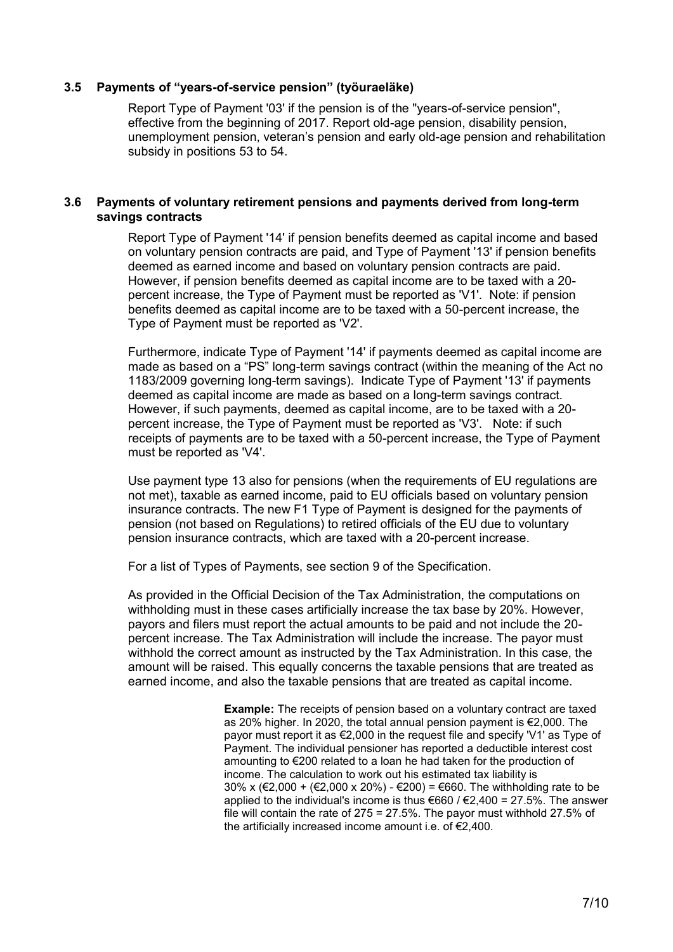#### <span id="page-6-0"></span>**3.5 Payments of "years-of-service pension" (työuraeläke)**

Report Type of Payment '03' if the pension is of the "years-of-service pension", effective from the beginning of 2017. Report old-age pension, disability pension, unemployment pension, veteran's pension and early old-age pension and rehabilitation subsidy in positions 53 to 54.

#### <span id="page-6-1"></span>**3.6 Payments of voluntary retirement pensions and payments derived from long-term savings contracts**

Report Type of Payment '14' if pension benefits deemed as capital income and based on voluntary pension contracts are paid, and Type of Payment '13' if pension benefits deemed as earned income and based on voluntary pension contracts are paid. However, if pension benefits deemed as capital income are to be taxed with a 20 percent increase, the Type of Payment must be reported as 'V1'. Note: if pension benefits deemed as capital income are to be taxed with a 50-percent increase, the Type of Payment must be reported as 'V2'.

Furthermore, indicate Type of Payment '14' if payments deemed as capital income are made as based on a "PS" long-term savings contract (within the meaning of the Act no 1183/2009 governing long-term savings). Indicate Type of Payment '13' if payments deemed as capital income are made as based on a long-term savings contract. However, if such payments, deemed as capital income, are to be taxed with a 20 percent increase, the Type of Payment must be reported as 'V3'. Note: if such receipts of payments are to be taxed with a 50-percent increase, the Type of Payment must be reported as 'V4'.

Use payment type 13 also for pensions (when the requirements of EU regulations are not met), taxable as earned income, paid to EU officials based on voluntary pension insurance contracts. The new F1 Type of Payment is designed for the payments of pension (not based on Regulations) to retired officials of the EU due to voluntary pension insurance contracts, which are taxed with a 20-percent increase.

For a list of Types of Payments, see section 9 of the Specification.

As provided in the Official Decision of the Tax Administration, the computations on withholding must in these cases artificially increase the tax base by 20%. However, payors and filers must report the actual amounts to be paid and not include the 20 percent increase. The Tax Administration will include the increase. The payor must withhold the correct amount as instructed by the Tax Administration. In this case, the amount will be raised. This equally concerns the taxable pensions that are treated as earned income, and also the taxable pensions that are treated as capital income.

> **Example:** The receipts of pension based on a voluntary contract are taxed as 20% higher. In 2020, the total annual pension payment is €2,000. The payor must report it as €2,000 in the request file and specify 'V1' as Type of Payment. The individual pensioner has reported a deductible interest cost amounting to €200 related to a loan he had taken for the production of income. The calculation to work out his estimated tax liability is 30% x (€2,000 + (€2,000 x 20%) - €200) = €660. The withholding rate to be applied to the individual's income is thus €660 / €2,400 = 27.5%. The answer file will contain the rate of 275 = 27.5%. The payor must withhold 27.5% of the artificially increased income amount i.e. of €2,400.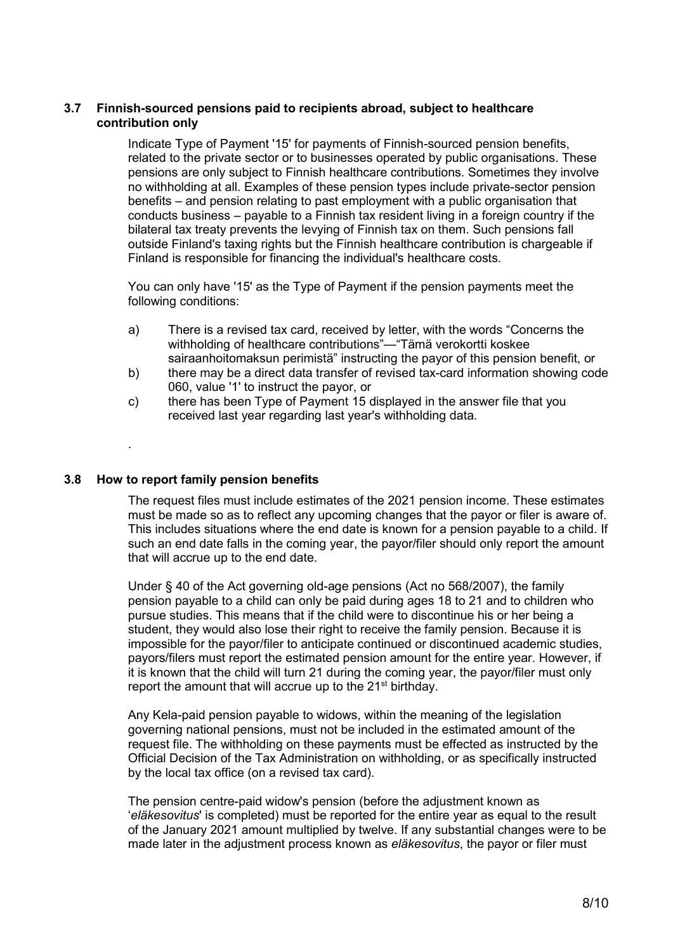## <span id="page-7-0"></span>**3.7 Finnish-sourced pensions paid to recipients abroad, subject to healthcare contribution only**

Indicate Type of Payment '15' for payments of Finnish-sourced pension benefits, related to the private sector or to businesses operated by public organisations. These pensions are only subject to Finnish healthcare contributions. Sometimes they involve no withholding at all. Examples of these pension types include private-sector pension benefits – and pension relating to past employment with a public organisation that conducts business – payable to a Finnish tax resident living in a foreign country if the bilateral tax treaty prevents the levying of Finnish tax on them. Such pensions fall outside Finland's taxing rights but the Finnish healthcare contribution is chargeable if Finland is responsible for financing the individual's healthcare costs.

You can only have '15' as the Type of Payment if the pension payments meet the following conditions:

- a) There is a revised tax card, received by letter, with the words "Concerns the withholding of healthcare contributions"—"Tämä verokortti koskee sairaanhoitomaksun perimistä" instructing the payor of this pension benefit, or
- b) there may be a direct data transfer of revised tax-card information showing code 060, value '1' to instruct the payor, or
- c) there has been Type of Payment 15 displayed in the answer file that you received last year regarding last year's withholding data.

## <span id="page-7-1"></span>**3.8 How to report family pension benefits**

.

The request files must include estimates of the 2021 pension income. These estimates must be made so as to reflect any upcoming changes that the payor or filer is aware of. This includes situations where the end date is known for a pension payable to a child. If such an end date falls in the coming year, the payor/filer should only report the amount that will accrue up to the end date.

Under § 40 of the Act governing old-age pensions (Act no 568/2007), the family pension payable to a child can only be paid during ages 18 to 21 and to children who pursue studies. This means that if the child were to discontinue his or her being a student, they would also lose their right to receive the family pension. Because it is impossible for the payor/filer to anticipate continued or discontinued academic studies, payors/filers must report the estimated pension amount for the entire year. However, if it is known that the child will turn 21 during the coming year, the payor/filer must only report the amount that will accrue up to the 21<sup>st</sup> birthday.

Any Kela-paid pension payable to widows, within the meaning of the legislation governing national pensions, must not be included in the estimated amount of the request file. The withholding on these payments must be effected as instructed by the Official Decision of the Tax Administration on withholding, or as specifically instructed by the local tax office (on a revised tax card).

The pension centre-paid widow's pension (before the adjustment known as '*eläkesovitus*' is completed) must be reported for the entire year as equal to the result of the January 2021 amount multiplied by twelve. If any substantial changes were to be made later in the adjustment process known as *eläkesovitus*, the payor or filer must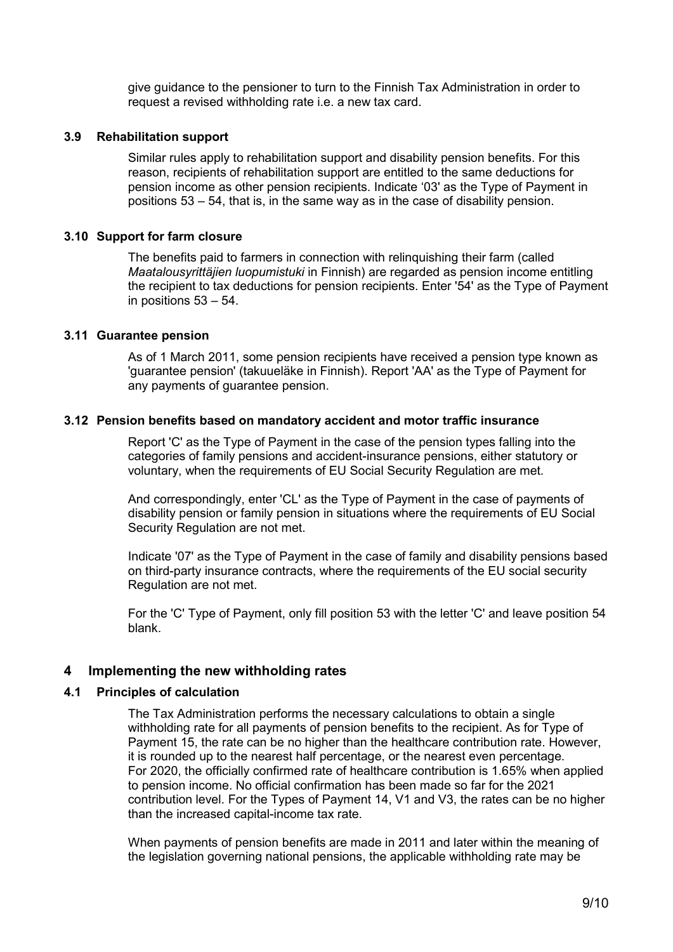give guidance to the pensioner to turn to the Finnish Tax Administration in order to request a revised withholding rate i.e. a new tax card.

### <span id="page-8-0"></span>**3.9 Rehabilitation support**

Similar rules apply to rehabilitation support and disability pension benefits. For this reason, recipients of rehabilitation support are entitled to the same deductions for pension income as other pension recipients. Indicate '03' as the Type of Payment in positions 53 – 54, that is, in the same way as in the case of disability pension.

### <span id="page-8-1"></span>**3.10 Support for farm closure**

The benefits paid to farmers in connection with relinquishing their farm (called *Maatalousyrittäjien luopumistuki* in Finnish) are regarded as pension income entitling the recipient to tax deductions for pension recipients. Enter '54' as the Type of Payment in positions 53 – 54.

#### <span id="page-8-2"></span>**3.11 Guarantee pension**

As of 1 March 2011, some pension recipients have received a pension type known as 'guarantee pension' (takuueläke in Finnish). Report 'AA' as the Type of Payment for any payments of guarantee pension.

#### <span id="page-8-3"></span>**3.12 Pension benefits based on mandatory accident and motor traffic insurance**

Report 'C' as the Type of Payment in the case of the pension types falling into the categories of family pensions and accident-insurance pensions, either statutory or voluntary, when the requirements of EU Social Security Regulation are met.

And correspondingly, enter 'CL' as the Type of Payment in the case of payments of disability pension or family pension in situations where the requirements of EU Social Security Regulation are not met.

Indicate '07' as the Type of Payment in the case of family and disability pensions based on third-party insurance contracts, where the requirements of the EU social security Regulation are not met.

For the 'C' Type of Payment, only fill position 53 with the letter 'C' and leave position 54 blank.

## <span id="page-8-4"></span>**4 Implementing the new withholding rates**

#### <span id="page-8-5"></span>**4.1 Principles of calculation**

The Tax Administration performs the necessary calculations to obtain a single withholding rate for all payments of pension benefits to the recipient. As for Type of Payment 15, the rate can be no higher than the healthcare contribution rate. However, it is rounded up to the nearest half percentage, or the nearest even percentage. For 2020, the officially confirmed rate of healthcare contribution is 1.65% when applied to pension income. No official confirmation has been made so far for the 2021 contribution level. For the Types of Payment 14, V1 and V3, the rates can be no higher than the increased capital-income tax rate.

When payments of pension benefits are made in 2011 and later within the meaning of the legislation governing national pensions, the applicable withholding rate may be